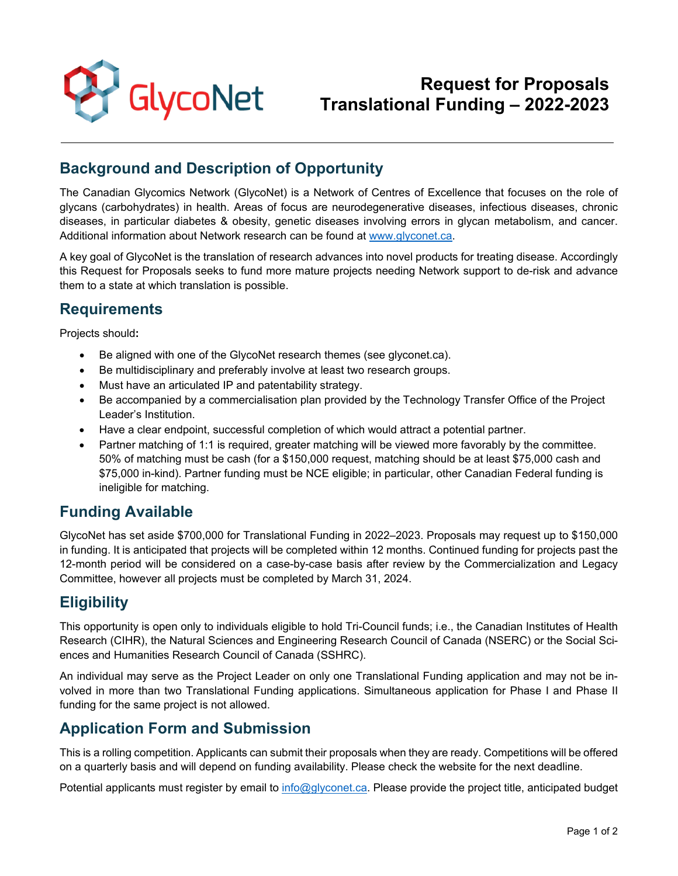

#### **Background and Description of Opportunity**

The Canadian Glycomics Network (GlycoNet) is a Network of Centres of Excellence that focuses on the role of glycans (carbohydrates) in health. Areas of focus are neurodegenerative diseases, infectious diseases, chronic diseases, in particular diabetes & obesity, genetic diseases involving errors in glycan metabolism, and cancer. Additional information about Network research can be found at [www.glyconet.ca.](http://www.glyconet.ca/)

A key goal of GlycoNet is the translation of research advances into novel products for treating disease. Accordingly this Request for Proposals seeks to fund more mature projects needing Network support to de-risk and advance them to a state at which translation is possible.

#### **Requirements**

Projects should**:**

- Be aligned with one of the GlycoNet research themes (see glyconet.ca).
- Be multidisciplinary and preferably involve at least two research groups.
- Must have an articulated IP and patentability strategy.
- Be accompanied by a commercialisation plan provided by the Technology Transfer Office of the Project Leader's Institution.
- Have a clear endpoint, successful completion of which would attract a potential partner.
- Partner matching of 1:1 is required, greater matching will be viewed more favorably by the committee. 50% of matching must be cash (for a \$150,000 request, matching should be at least \$75,000 cash and \$75,000 in-kind). Partner funding must be NCE eligible; in particular, other Canadian Federal funding is ineligible for matching.

## **Funding Available**

GlycoNet has set aside \$700,000 for Translational Funding in 2022–2023. Proposals may request up to \$150,000 in funding. It is anticipated that projects will be completed within 12 months. Continued funding for projects past the 12-month period will be considered on a case-by-case basis after review by the Commercialization and Legacy Committee, however all projects must be completed by March 31, 2024.

## **Eligibility**

This opportunity is open only to individuals eligible to hold Tri-Council funds; i.e., the Canadian Institutes of Health Research (CIHR), the Natural Sciences and Engineering Research Council of Canada (NSERC) or the Social Sciences and Humanities Research Council of Canada (SSHRC).

An individual may serve as the Project Leader on only one Translational Funding application and may not be involved in more than two Translational Funding applications. Simultaneous application for Phase I and Phase II funding for the same project is not allowed.

## **Application Form and Submission**

This is a rolling competition. Applicants can submit their proposals when they are ready. Competitions will be offered on a quarterly basis and will depend on funding availability. Please check the website for the next deadline.

Potential applicants must register by email to [info@glyconet.ca.](mailto:info@glyconet.ca) Please provide the project title, anticipated budget